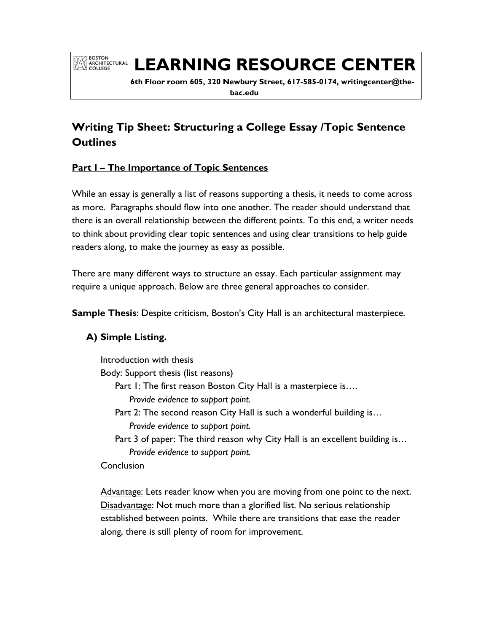# **EXPRESSION LEARNING RESOURCE CENTER**

 **6th Floor room 605, 320 Newbury Street, 617-585-0174, writingcenter@thebac.edu**

# **Writing Tip Sheet: Structuring a College Essay /Topic Sentence Outlines**

# **Part I – The Importance of Topic Sentences**

While an essay is generally a list of reasons supporting a thesis, it needs to come across as more. Paragraphs should flow into one another. The reader should understand that there is an overall relationship between the different points. To this end, a writer needs to think about providing clear topic sentences and using clear transitions to help guide readers along, to make the journey as easy as possible.

There are many different ways to structure an essay. Each particular assignment may require a unique approach. Below are three general approaches to consider.

**Sample Thesis**: Despite criticism, Boston's City Hall is an architectural masterpiece.

# **A) Simple Listing.**

Introduction with thesis

Body: Support thesis (list reasons)

Part 1: The first reason Boston City Hall is a masterpiece is....

*Provide evidence to support point.*

- Part 2: The second reason City Hall is such a wonderful building is… *Provide evidence to support point.*
- Part 3 of paper: The third reason why City Hall is an excellent building is… *Provide evidence to support point.*

Conclusion

Advantage: Lets reader know when you are moving from one point to the next. Disadvantage: Not much more than a glorified list. No serious relationship established between points. While there are transitions that ease the reader along, there is still plenty of room for improvement.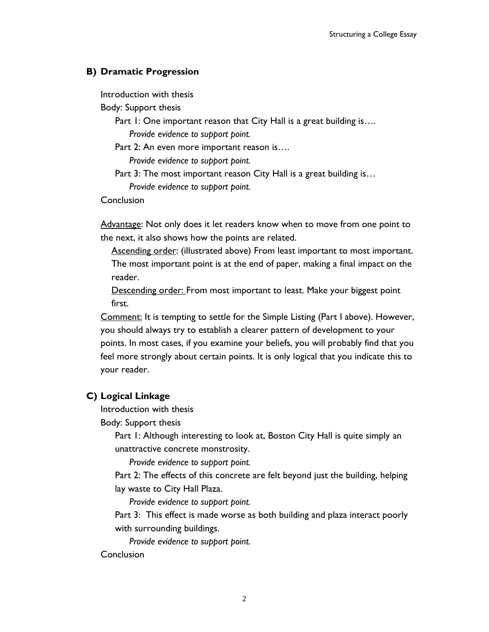#### **B) Dramatic Progression**

Introduction with thesis

Body: Support thesis

Part 1: One important reason that City Hall is a great building is.... *Provide evidence to support point.* 

Part 2: An even more important reason is….

*Provide evidence to support point.* 

Part 3: The most important reason City Hall is a great building is... *Provide evidence to support point.*

Conclusion

Advantage: Not only does it let readers know when to move from one point to the next, it also shows how the points are related.

Ascending order: (illustrated above) From least important to most important. The most important point is at the end of paper, making a final impact on the reader.

Descending order: From most important to least. Make your biggest point first.

Comment: It is tempting to settle for the Simple Listing (Part I above). However, you should always try to establish a clearer pattern of development to your points. In most cases, if you examine your beliefs, you will probably find that you feel more strongly about certain points. It is only logical that you indicate this to your reader.

#### **C) Logical Linkage**

Introduction with thesis

Body: Support thesis

Part 1: Although interesting to look at, Boston City Hall is quite simply an unattractive concrete monstrosity.

*Provide evidence to support point.*

Part 2: The effects of this concrete are felt beyond just the building, helping lay waste to City Hall Plaza.

*Provide evidence to support point.*

Part 3: This effect is made worse as both building and plaza interact poorly with surrounding buildings.

*Provide evidence to support point.*

#### Conclusion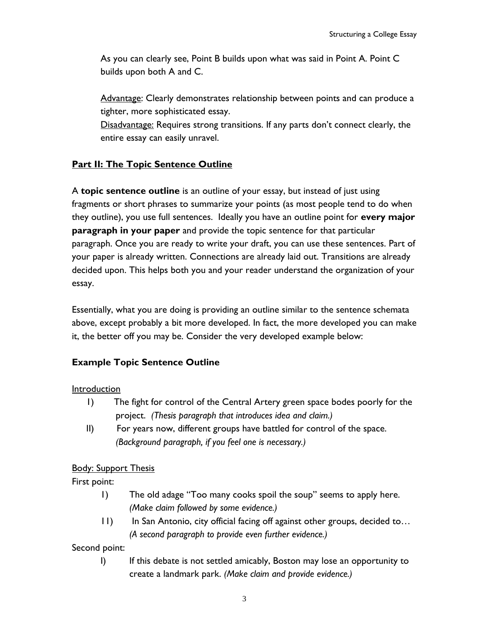As you can clearly see, Point B builds upon what was said in Point A. Point C builds upon both A and C.

Advantage: Clearly demonstrates relationship between points and can produce a tighter, more sophisticated essay.

Disadvantage: Requires strong transitions. If any parts don't connect clearly, the entire essay can easily unravel.

# **Part II: The Topic Sentence Outline**

A **topic sentence outline** is an outline of your essay, but instead of just using fragments or short phrases to summarize your points (as most people tend to do when they outline), you use full sentences. Ideally you have an outline point for **every major paragraph in your paper** and provide the topic sentence for that particular paragraph. Once you are ready to write your draft, you can use these sentences. Part of your paper is already written. Connections are already laid out. Transitions are already decided upon. This helps both you and your reader understand the organization of your essay.

Essentially, what you are doing is providing an outline similar to the sentence schemata above, except probably a bit more developed. In fact, the more developed you can make it, the better off you may be. Consider the very developed example below:

# **Example Topic Sentence Outline**

Introduction

- 1) The fight for control of the Central Artery green space bodes poorly for the project. *(Thesis paragraph that introduces idea and claim.)*
- II) For years now, different groups have battled for control of the space.  *(Background paragraph, if you feel one is necessary.)*

# **Body: Support Thesis**

First point:

- 1) The old adage "Too many cooks spoil the soup" seems to apply here. *(Make claim followed by some evidence.)*
- 11) In San Antonio, city official facing off against other groups, decided to… *(A second paragraph to provide even further evidence.)*

Second point:

I) If this debate is not settled amicably, Boston may lose an opportunity to create a landmark park. *(Make claim and provide evidence.)*